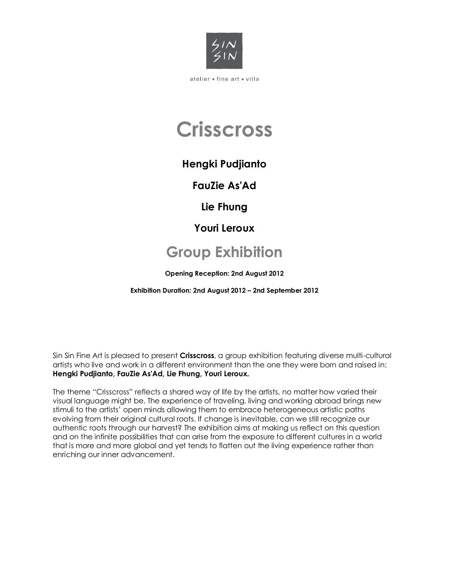

# **Crisscross**

## **Hengki Pudjianto**

**FauZie As'Ad** 

**Lie Fhung** 

**Youri Leroux**

## **Group Exhibition**

**Opening Reception: 2nd August 2012**

**Exhibition Duration: 2nd August 2012 – 2nd September 2012**

Sin Sin Fine Art is pleased to present **Crisscross**, a group exhibition featuring diverse multi-cultural artists who live and work in a different environment than the one they were born and raised in: **Hengki Pudjianto, FauZie As'Ad, Lie Fhung, Youri Leroux.**

The theme "Crisscross" reflects a shared way of life by the artists, no matter how varied their visual language might be. The experience of traveling, living and working abroad brings new stimuli to the artists' open minds allowing them to embrace heterogeneous artistic paths evolving from their original cultural roots. If change is inevitable, can we still recognize our authentic roots through our harvest? The exhibition aims at making us reflect on this question and on the infinite possibilities that can arise from the exposure to different cultures in a world that is more and more global and yet tends to flatten out the living experience rather than enriching our inner advancement.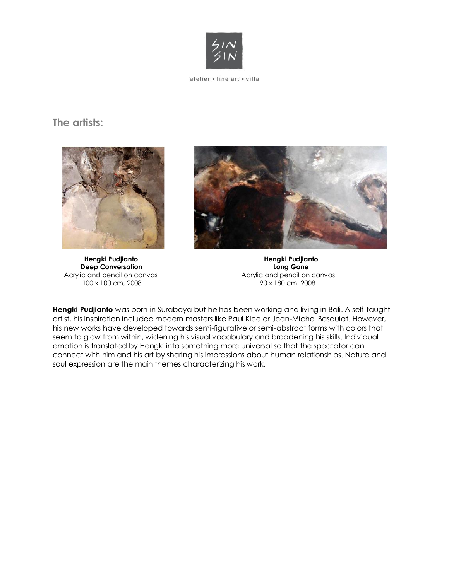

### **The artists:**



**Deep Conversation Conversation Long Gone** Acrylic and pencil on canvas Acrylic and pencil on canvas<br>100 x 100 cm, 2008 90 x 180 cm, 2008 100 x 100 cm, 2008



**Hengki Pudjianto Hengki Pudjianto** 

**Hengki Pudjianto** was born in Surabaya but he has been working and living in Bali. A self-taught artist, his inspiration included modern masters like Paul Klee or Jean-Michel Basquiat. However, his new works have developed towards semi-figurative or semi-abstract forms with colors that seem to glow from within, widening his visual vocabulary and broadening his skills. Individual emotion is translated by Hengki into something more universal so that the spectator can connect with him and his art by sharing his impressions about human relationships. Nature and soul expression are the main themes characterizing his work.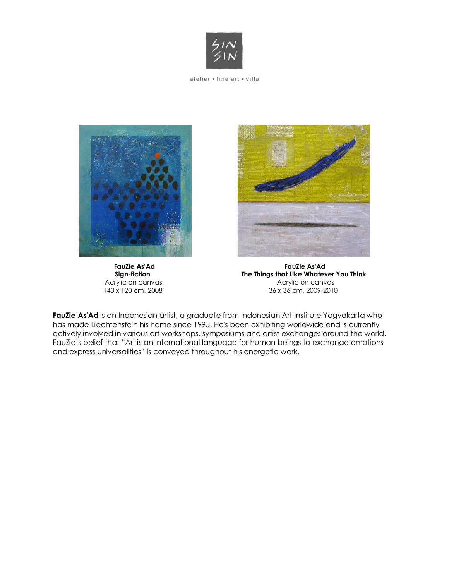





 **FauZie As'Ad FauZie As'Ad Sign-fiction The Things that Like Whatever You Think** Acrylic on canvas and a server a server a converted and acrylic on canvas 140 x 120 cm, 2008 36 x 36 cm, 2009-2010

FauZie As'Ad is an Indonesian artist, a graduate from Indonesian Art Institute Yogyakarta who has made Liechtenstein his home since 1995. He's been exhibiting worldwide and is currently actively involved in various art workshops, symposiums and artist exchanges around the world. FauZie's belief that "Art is an International language for human beings to exchange emotions and express universalities" is conveyed throughout his energetic work.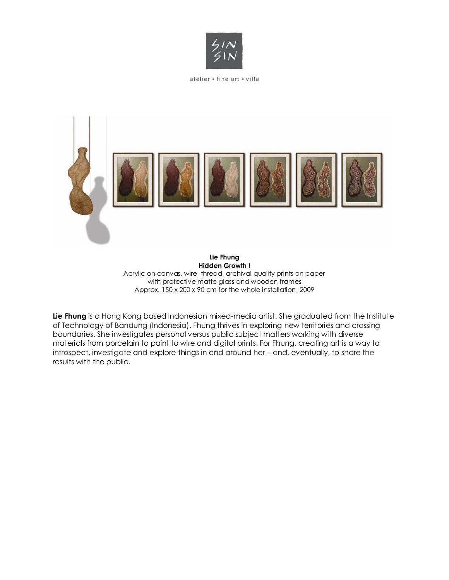



**Hidden Growth I** Acrylic on canvas, wire, thread, archival quality prints on paper with protective matte glass and wooden frames Approx. 150 x 200 x 90 cm for the whole installation, 2009

**Lie Fhung** is a Hong Kong based Indonesian mixed-media artist. She graduated from the Institute of Technology of Bandung (Indonesia). Fhung thrives in exploring new territories and crossing boundaries. She investigates personal versus public subject matters working with diverse materials from porcelain to paint to wire and digital prints. For Fhung, creating art is a way to introspect, investigate and explore things in and around her – and, eventually, to share the results with the public.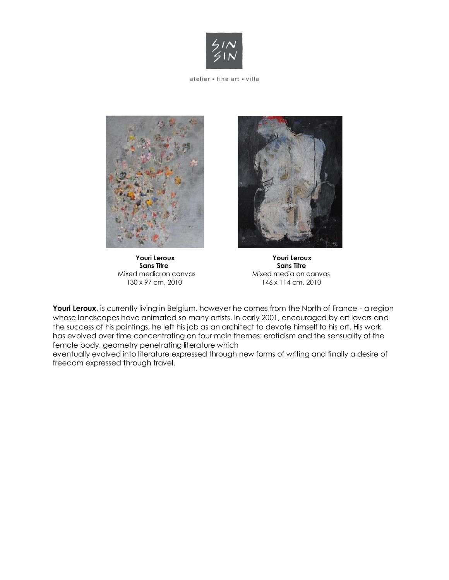



Mixed media on canvas



 **Youri Leroux Youri Leroux Sans Titre**<br>**Mixed media on canvas** 130 x 97 cm, 2010 146 x 114 cm, 2010

Youri Leroux, is currently living in Belgium, however he comes from the North of France - a region whose landscapes have animated so many artists. In early 2001, encouraged by art lovers and the success of his paintings, he left his job as an architect to devote himself to his art. His work has evolved over time concentrating on four main themes: eroticism and the sensuality of the female body, geometry penetrating literature which

eventually evolved into literature expressed through new forms of writing and finally a desire of freedom expressed through travel.